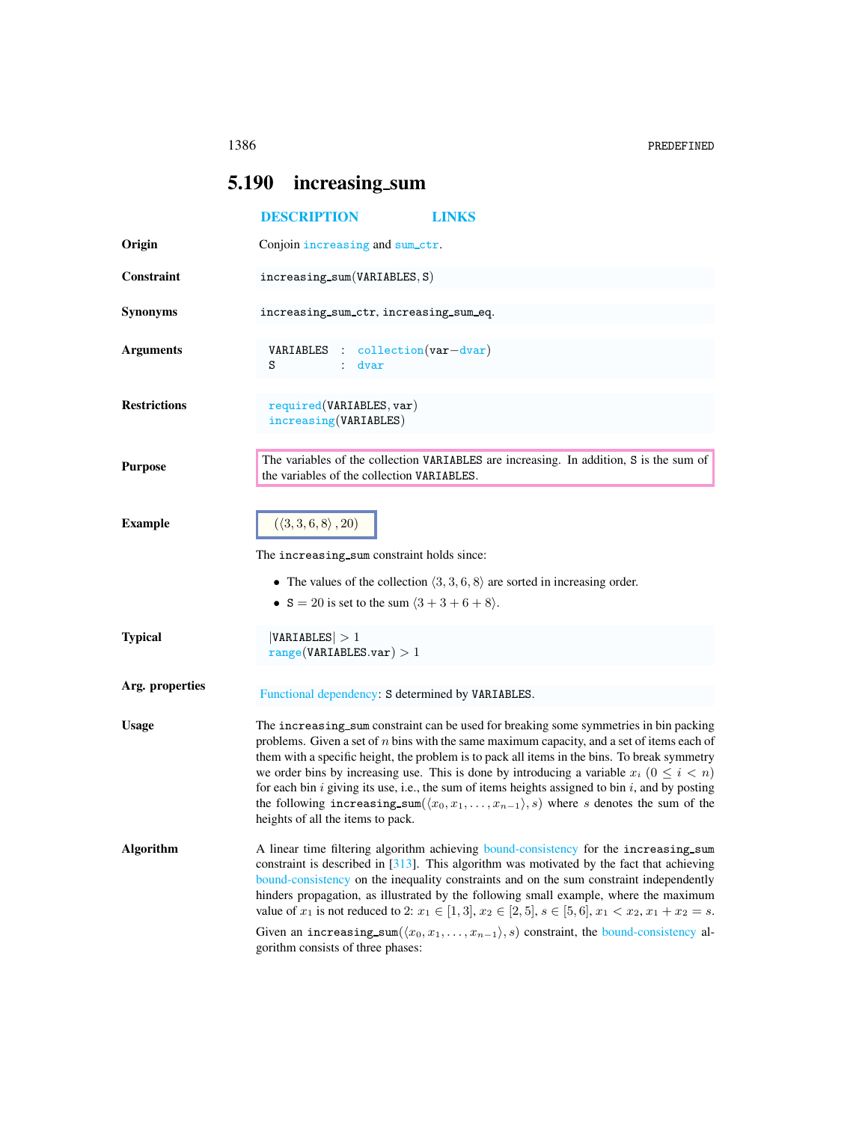# <span id="page-0-0"></span>5.190 increasing sum

|                     | <b>DESCRIPTION</b><br>LINKS                                                                                                                                                                                                                                                                                                                                                                                                                                                                                                                                                                                                                           |  |  |  |  |  |
|---------------------|-------------------------------------------------------------------------------------------------------------------------------------------------------------------------------------------------------------------------------------------------------------------------------------------------------------------------------------------------------------------------------------------------------------------------------------------------------------------------------------------------------------------------------------------------------------------------------------------------------------------------------------------------------|--|--|--|--|--|
| Origin              | Conjoin increasing and sum_ctr.                                                                                                                                                                                                                                                                                                                                                                                                                                                                                                                                                                                                                       |  |  |  |  |  |
| Constraint          | increasing.sum(VARIABLES, S)                                                                                                                                                                                                                                                                                                                                                                                                                                                                                                                                                                                                                          |  |  |  |  |  |
| <b>Synonyms</b>     | increasing_sum_ctr, increasing_sum_eq.                                                                                                                                                                                                                                                                                                                                                                                                                                                                                                                                                                                                                |  |  |  |  |  |
| <b>Arguments</b>    | VARIABLES : collection (var-dvar)<br>S<br>dvar                                                                                                                                                                                                                                                                                                                                                                                                                                                                                                                                                                                                        |  |  |  |  |  |
| <b>Restrictions</b> | required(VARIABLES, var)<br>increasing(VARIABLES)                                                                                                                                                                                                                                                                                                                                                                                                                                                                                                                                                                                                     |  |  |  |  |  |
| <b>Purpose</b>      | The variables of the collection VARIABLES are increasing. In addition, S is the sum of<br>the variables of the collection VARIABLES.                                                                                                                                                                                                                                                                                                                                                                                                                                                                                                                  |  |  |  |  |  |
| <b>Example</b>      | $(\langle 3, 3, 6, 8 \rangle, 20)$<br>The increasing_sum constraint holds since:<br>• The values of the collection $\langle 3, 3, 6, 8 \rangle$ are sorted in increasing order.<br>• S = 20 is set to the sum $(3 + 3 + 6 + 8)$ .                                                                                                                                                                                                                                                                                                                                                                                                                     |  |  |  |  |  |
| <b>Typical</b>      | VARIABLES  > 1<br>range(VARIABLES.var) > 1                                                                                                                                                                                                                                                                                                                                                                                                                                                                                                                                                                                                            |  |  |  |  |  |
| Arg. properties     | Functional dependency: S determined by VARIABLES.                                                                                                                                                                                                                                                                                                                                                                                                                                                                                                                                                                                                     |  |  |  |  |  |
| <b>Usage</b>        | The increasing_sum constraint can be used for breaking some symmetries in bin packing<br>problems. Given a set of $n$ bins with the same maximum capacity, and a set of items each of<br>them with a specific height, the problem is to pack all items in the bins. To break symmetry<br>we order bins by increasing use. This is done by introducing a variable $x_i$ ( $0 \le i < n$ )<br>for each bin $i$ giving its use, i.e., the sum of items heights assigned to bin $i$ , and by posting<br>the following increasing sum $(\langle x_0, x_1, \ldots, x_{n-1} \rangle, s)$ where s denotes the sum of the<br>heights of all the items to pack. |  |  |  |  |  |
| <b>Algorithm</b>    | A linear time filtering algorithm achieving bound-consistency for the increasing_sum<br>constraint is described in $[313]$ . This algorithm was motivated by the fact that achieving<br>bound-consistency on the inequality constraints and on the sum constraint independently<br>hinders propagation, as illustrated by the following small example, where the maximum<br>value of $x_1$ is not reduced to 2: $x_1 \in [1,3], x_2 \in [2,5], s \in [5,6], x_1 < x_2, x_1 + x_2 = s$ .<br>Given an increasing_sum( $\langle x_0, x_1, \ldots, x_{n-1} \rangle$ , s) constraint, the bound-consistency al-<br>gorithm consists of three phases:       |  |  |  |  |  |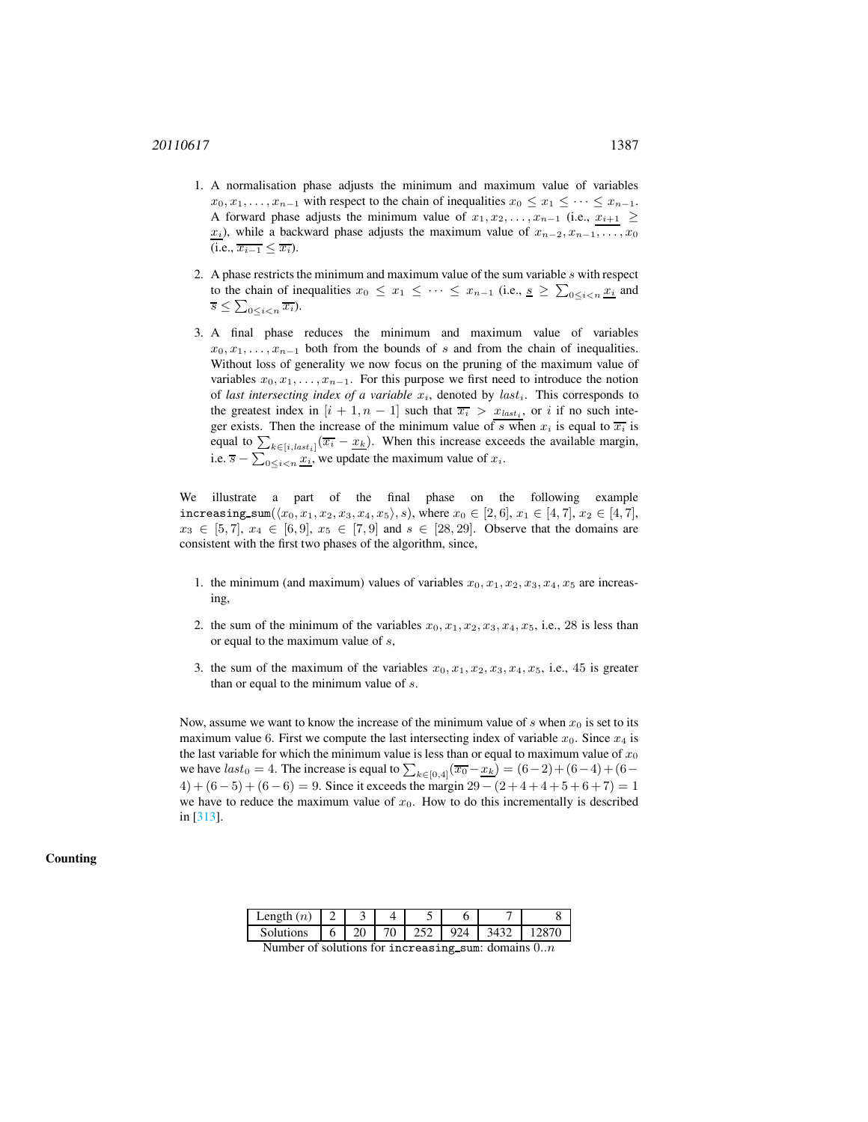- 1. A normalisation phase adjusts the minimum and maximum value of variables  $x_0, x_1, \ldots, x_{n-1}$  with respect to the chain of inequalities  $x_0 \le x_1 \le \cdots \le x_{n-1}$ . A forward phase adjusts the minimum value of  $x_1, x_2, \ldots, x_{n-1}$  (i.e.,  $x_{i+1} \geq$  $x_i$ ), while a backward phase adjusts the maximum value of  $x_{n-2}, x_{n-1}, \ldots, x_0$  $(i.e., \overline{x_{i-1}} \leq \overline{x_i}).$
- 2. A phase restricts the minimum and maximum value of the sum variable  $s$  with respect to the chain of inequalities  $x_0 \le x_1 \le \cdots \le x_{n-1}$  (i.e.,  $s \ge \sum_{0 \le i < n} \frac{x_i}{x_i}$  and  $\overline{s} \leq \sum_{0 \leq i < n} \overline{x_i}$
- 3. A final phase reduces the minimum and maximum value of variables  $x_0, x_1, \ldots, x_{n-1}$  both from the bounds of s and from the chain of inequalities. Without loss of generality we now focus on the pruning of the maximum value of variables  $x_0, x_1, \ldots, x_{n-1}$ . For this purpose we first need to introduce the notion of *last intersecting index of a variable*  $x_i$ , denoted by  $last_i$ . This corresponds to the greatest index in  $[i + 1, n - 1]$  such that  $\overline{x_i} > x_{last_i}$ , or i if no such integer exists. Then the increase of the minimum value of s when  $x_i$  is equal to  $\overline{x_i}$  is equal to  $\sum_{k \in [i, last_i]} (\overline{x_i} - \underline{x_k})$ . When this increase exceeds the available margin, i.e.  $\overline{s} - \sum_{0 \le i < n} \underline{x_i}$ , we update the maximum value of  $x_i$ .

We illustrate a part of the final phase on the following example increasing\_sum( $\langle x_0, x_1, x_2, x_3, x_4, x_5 \rangle$ , s), where  $x_0 \in [2, 6]$ ,  $x_1 \in [4, 7]$ ,  $x_2 \in [4, 7]$ ,  $x_3 \in [5, 7], x_4 \in [6, 9], x_5 \in [7, 9]$  and  $s \in [28, 29]$ . Observe that the domains are consistent with the first two phases of the algorithm, since,

- 1. the minimum (and maximum) values of variables  $x_0, x_1, x_2, x_3, x_4, x_5$  are increasing,
- 2. the sum of the minimum of the variables  $x_0, x_1, x_2, x_3, x_4, x_5$ , i.e., 28 is less than or equal to the maximum value of s,
- 3. the sum of the maximum of the variables  $x_0, x_1, x_2, x_3, x_4, x_5$ , i.e., 45 is greater than or equal to the minimum value of s.

Now, assume we want to know the increase of the minimum value of s when  $x_0$  is set to its maximum value 6. First we compute the last intersecting index of variable  $x_0$ . Since  $x_4$  is the last variable for which the minimum value is less than or equal to maximum value of  $x_0$ we have  $last_0 = 4$ . The increase is equal to  $\sum_{k \in [0,4]} (\overline{x_0} - \underline{x_k}) = (6-2) + (6-4) + (6-4)$  $4) + (6-5) + (6-6) = 9$ . Since it exceeds the margin 29 –  $(2+4+4+5+6+7) = 1$ we have to reduce the maximum value of  $x_0$ . How to do this incrementally is described in [313].

### **Counting**

| Length $(n)$ |    |  |  |  |
|--------------|----|--|--|--|
| Solutions    | 20 |  |  |  |

Number of solutions for increasing sum: domains  $0..n$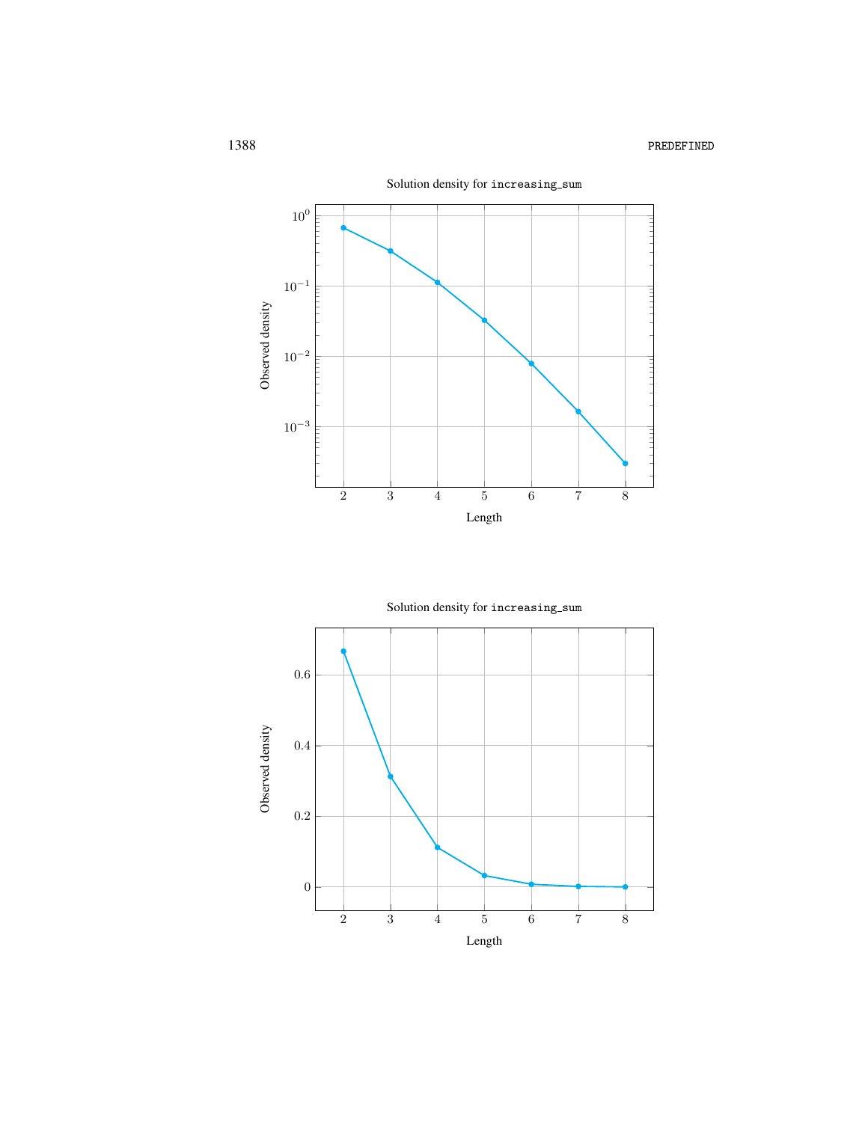

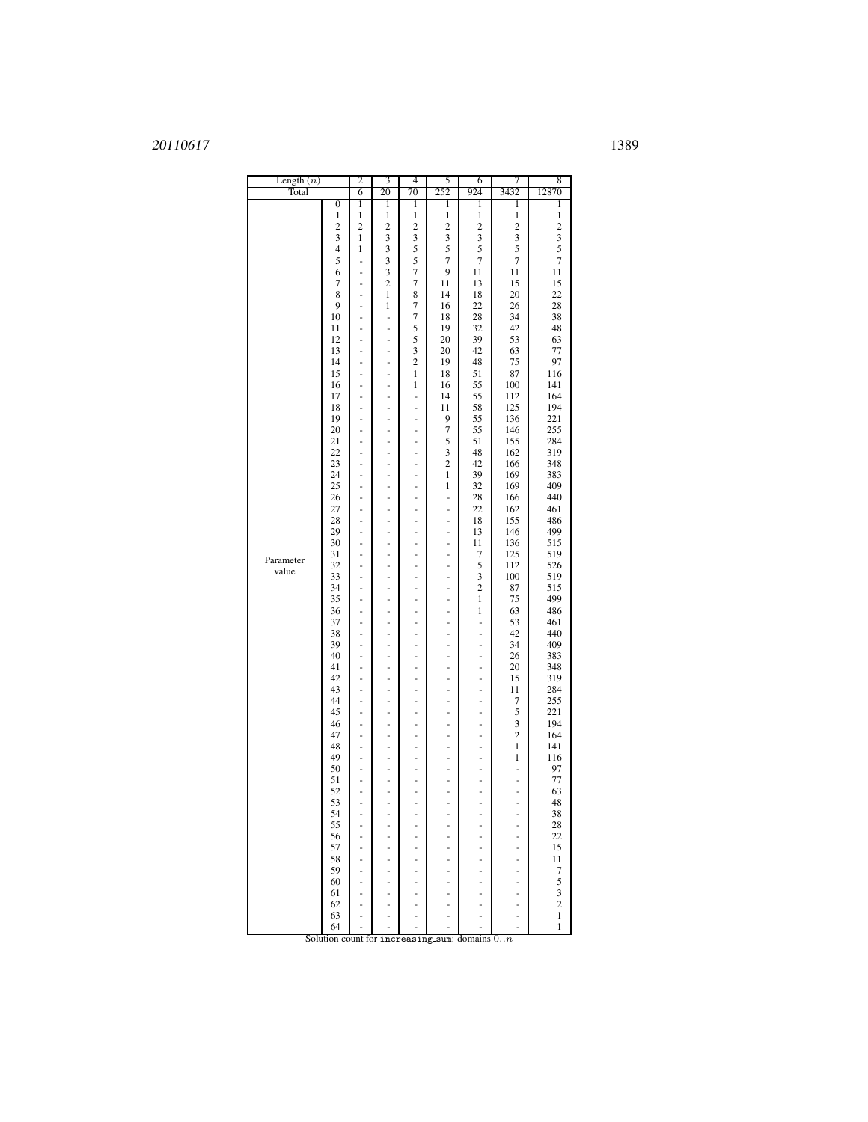### 1389

| $\boldsymbol{0}$<br>1<br>1<br>1<br>1<br>1<br>1<br>1<br>$\mathbf{1}$<br>$\mathbf{1}$<br>$\mathbf{1}$<br>$\mathbf{1}$<br>1<br>1<br>1<br>1<br>$\overline{c}$<br>$\overline{\mathbf{c}}$<br>$\overline{\mathbf{c}}$<br>$\overline{\mathbf{c}}$<br>$\overline{\mathbf{c}}$<br>$\overline{\mathbf{c}}$<br>$\overline{\mathbf{c}}$<br>$\overline{c}$<br>3<br>3<br>3<br>3<br>3<br>3<br>3<br>1<br>5<br>5<br>5<br>5<br>$\overline{4}$<br>3<br>5<br>1<br>5<br>3<br>5<br>7<br>$\overline{7}$<br>7<br>7<br>$\overline{\phantom{0}}$<br>$\overline{7}$<br>6<br>3<br>9<br>11<br>11<br>11<br>÷<br>$\overline{c}$<br>7<br>15<br>7<br>11<br>13<br>15<br>÷<br>8<br>$\mathbf{1}$<br>8<br>18<br>20<br>22<br>14<br>$\overline{a}$<br>7<br>9<br>1<br>16<br>22<br>26<br>28<br>÷,<br>$\boldsymbol{7}$<br>10<br>18<br>28<br>34<br>38<br>÷<br>۰<br>5<br>19<br>32<br>42<br>48<br>11<br>$\overline{\phantom{m}}$<br>۰<br>5<br>39<br>53<br>63<br>12<br>20<br>$\frac{1}{2}$<br>÷,<br>3<br>20<br>42<br>63<br>77<br>13<br>۰<br>$\overline{\phantom{m}}$<br>$\overline{c}$<br>14<br>19<br>48<br>75<br>97<br>-<br>-<br>15<br>1<br>18<br>51<br>87<br>116<br>L,<br>÷,<br>55<br>100<br>141<br>16<br>1<br>16<br>$\overline{\phantom{m}}$<br>٠<br>14<br>55<br>112<br>164<br>17<br>-<br>÷<br>-<br>18<br>11<br>58<br>125<br>194<br>÷<br>÷<br>i,<br>221<br>19<br>9<br>55<br>136<br>$\overline{\phantom{m}}$<br>۰<br>۰<br>20<br>7<br>55<br>146<br>255<br>÷<br>÷<br>÷<br>5<br>21<br>51<br>155<br>284<br>÷<br>÷<br>-<br>3<br>319<br>22<br>48<br>162<br>$\overline{\phantom{m}}$<br>٠<br>۰<br>23<br>$\overline{\mathbf{c}}$<br>42<br>166<br>348<br>-<br>÷<br>÷<br>169<br>24<br>1<br>39<br>383<br>÷<br>÷<br>-<br>409<br>25<br>32<br>169<br>1<br>-<br>۰<br>۰<br>440<br>26<br>28<br>166<br>$\frac{1}{2}$<br>$\blacksquare$<br>÷,<br>٠<br>162<br>461<br>27<br>22<br>÷<br>-<br>-<br>÷<br>155<br>486<br>28<br>18<br>÷,<br>٠<br>۰<br>٠<br>499<br>146<br>29<br>13<br>$\frac{1}{2}$<br>÷<br>÷,<br>ä,<br>30<br>11<br>136<br>515<br>$\overline{\phantom{0}}$<br>-<br>-<br>÷<br>125<br>519<br>31<br>7<br>٠<br>۰<br>٠<br>-<br>Parameter<br>5<br>112<br>526<br>32<br>$\frac{1}{2}$<br>÷<br>÷,<br>ä,<br>value<br>3<br>33<br>100<br>519<br>$\overline{\phantom{0}}$<br>$\overline{\phantom{m}}$<br>-<br>÷<br>$\overline{c}$<br>34<br>87<br>515<br>٠<br>۰<br>٠<br>-<br>499<br>35<br>1<br>75<br>$\frac{1}{2}$<br>÷<br>÷,<br>ä,<br>36<br>$\mathbf{1}$<br>63<br>486<br>$\overline{\phantom{0}}$<br>$\overline{\phantom{m}}$<br>-<br>÷<br>53<br>37<br>461<br>-<br>-<br>۰<br>۰<br>$\overline{a}$<br>42<br>440<br>38<br>$\frac{1}{2}$<br>÷,<br>÷,<br>÷<br>÷,<br>409<br>39<br>34<br>$\overline{\phantom{0}}$<br>$\overline{\phantom{m}}$<br>-<br>÷<br>-<br>383<br>40<br>26<br>-<br>۰<br>۰<br>$\overline{a}$<br>۰<br>41<br>348<br>20<br>$\frac{1}{2}$<br>÷,<br>÷,<br>÷<br>÷,<br>42<br>15<br>319<br>$\overline{\phantom{0}}$<br>$\overline{\phantom{m}}$<br>-<br>÷<br>-<br>43<br>11<br>284<br>-<br>۰<br>۰<br>-<br>۰<br>255<br>44<br>7<br>$\frac{1}{2}$<br>÷,<br>÷<br>÷,<br>÷<br>221<br>45<br>5<br>÷,<br>۰<br>۰<br>٠<br>۰<br>3<br>194<br>46<br>-<br>۰<br>-<br>۰<br>$\overline{c}$<br>164<br>47<br>÷,<br>÷,<br>÷<br>÷,<br>÷<br>48<br>1<br>141<br>$\overline{\phantom{m}}$<br>۰<br>۰<br>٠<br>۰<br>49<br>1<br>116<br>-<br>i,<br>L,<br>-<br>50<br>97<br>-<br>-<br>-<br>÷<br>÷<br>÷<br>77<br>51<br>$\overline{\phantom{m}}$<br>۰<br>٠<br>$\overline{a}$<br>-<br>۰<br>52<br>63<br>ŕ<br>÷<br>÷<br>÷<br>-<br>-<br>48<br>53<br>$\overline{a}$<br>÷,<br>$\overline{a}$<br>÷,<br>÷,<br>$\overline{\phantom{a}}$<br>54<br>38<br>55<br>28<br>56<br>22<br>57<br>15<br>58<br>11<br>59<br>7<br>5<br>60<br>3<br>61<br>2<br>62<br>$\mathbf{1}$<br>63<br>64<br>1<br>Solution count for increasing sum: domains $0n$ | Length $(n)$ |  | 2 | 3  | 4  | 5   | 6   | 7    | 8     |
|------------------------------------------------------------------------------------------------------------------------------------------------------------------------------------------------------------------------------------------------------------------------------------------------------------------------------------------------------------------------------------------------------------------------------------------------------------------------------------------------------------------------------------------------------------------------------------------------------------------------------------------------------------------------------------------------------------------------------------------------------------------------------------------------------------------------------------------------------------------------------------------------------------------------------------------------------------------------------------------------------------------------------------------------------------------------------------------------------------------------------------------------------------------------------------------------------------------------------------------------------------------------------------------------------------------------------------------------------------------------------------------------------------------------------------------------------------------------------------------------------------------------------------------------------------------------------------------------------------------------------------------------------------------------------------------------------------------------------------------------------------------------------------------------------------------------------------------------------------------------------------------------------------------------------------------------------------------------------------------------------------------------------------------------------------------------------------------------------------------------------------------------------------------------------------------------------------------------------------------------------------------------------------------------------------------------------------------------------------------------------------------------------------------------------------------------------------------------------------------------------------------------------------------------------------------------------------------------------------------------------------------------------------------------------------------------------------------------------------------------------------------------------------------------------------------------------------------------------------------------------------------------------------------------------------------------------------------------------------------------------------------------------------------------------------------------------------------------------------------------------------------------------------------------------------------------------------------------------------------------------------------------------------------------------------------------------------------------------------------------------------------------------------------------------------------------------------------------------------------------------------------------------------------------------------------------------------------------------------------------------------------------------------------------------------------------------------------------|--------------|--|---|----|----|-----|-----|------|-------|
|                                                                                                                                                                                                                                                                                                                                                                                                                                                                                                                                                                                                                                                                                                                                                                                                                                                                                                                                                                                                                                                                                                                                                                                                                                                                                                                                                                                                                                                                                                                                                                                                                                                                                                                                                                                                                                                                                                                                                                                                                                                                                                                                                                                                                                                                                                                                                                                                                                                                                                                                                                                                                                                                                                                                                                                                                                                                                                                                                                                                                                                                                                                                                                                                                                                                                                                                                                                                                                                                                                                                                                                                                                                                                                                        | Total        |  | 6 | 20 | 70 | 252 | 924 | 3432 | 12870 |
|                                                                                                                                                                                                                                                                                                                                                                                                                                                                                                                                                                                                                                                                                                                                                                                                                                                                                                                                                                                                                                                                                                                                                                                                                                                                                                                                                                                                                                                                                                                                                                                                                                                                                                                                                                                                                                                                                                                                                                                                                                                                                                                                                                                                                                                                                                                                                                                                                                                                                                                                                                                                                                                                                                                                                                                                                                                                                                                                                                                                                                                                                                                                                                                                                                                                                                                                                                                                                                                                                                                                                                                                                                                                                                                        |              |  |   |    |    |     |     |      |       |
|                                                                                                                                                                                                                                                                                                                                                                                                                                                                                                                                                                                                                                                                                                                                                                                                                                                                                                                                                                                                                                                                                                                                                                                                                                                                                                                                                                                                                                                                                                                                                                                                                                                                                                                                                                                                                                                                                                                                                                                                                                                                                                                                                                                                                                                                                                                                                                                                                                                                                                                                                                                                                                                                                                                                                                                                                                                                                                                                                                                                                                                                                                                                                                                                                                                                                                                                                                                                                                                                                                                                                                                                                                                                                                                        |              |  |   |    |    |     |     |      |       |
|                                                                                                                                                                                                                                                                                                                                                                                                                                                                                                                                                                                                                                                                                                                                                                                                                                                                                                                                                                                                                                                                                                                                                                                                                                                                                                                                                                                                                                                                                                                                                                                                                                                                                                                                                                                                                                                                                                                                                                                                                                                                                                                                                                                                                                                                                                                                                                                                                                                                                                                                                                                                                                                                                                                                                                                                                                                                                                                                                                                                                                                                                                                                                                                                                                                                                                                                                                                                                                                                                                                                                                                                                                                                                                                        |              |  |   |    |    |     |     |      |       |
|                                                                                                                                                                                                                                                                                                                                                                                                                                                                                                                                                                                                                                                                                                                                                                                                                                                                                                                                                                                                                                                                                                                                                                                                                                                                                                                                                                                                                                                                                                                                                                                                                                                                                                                                                                                                                                                                                                                                                                                                                                                                                                                                                                                                                                                                                                                                                                                                                                                                                                                                                                                                                                                                                                                                                                                                                                                                                                                                                                                                                                                                                                                                                                                                                                                                                                                                                                                                                                                                                                                                                                                                                                                                                                                        |              |  |   |    |    |     |     |      |       |
|                                                                                                                                                                                                                                                                                                                                                                                                                                                                                                                                                                                                                                                                                                                                                                                                                                                                                                                                                                                                                                                                                                                                                                                                                                                                                                                                                                                                                                                                                                                                                                                                                                                                                                                                                                                                                                                                                                                                                                                                                                                                                                                                                                                                                                                                                                                                                                                                                                                                                                                                                                                                                                                                                                                                                                                                                                                                                                                                                                                                                                                                                                                                                                                                                                                                                                                                                                                                                                                                                                                                                                                                                                                                                                                        |              |  |   |    |    |     |     |      |       |
|                                                                                                                                                                                                                                                                                                                                                                                                                                                                                                                                                                                                                                                                                                                                                                                                                                                                                                                                                                                                                                                                                                                                                                                                                                                                                                                                                                                                                                                                                                                                                                                                                                                                                                                                                                                                                                                                                                                                                                                                                                                                                                                                                                                                                                                                                                                                                                                                                                                                                                                                                                                                                                                                                                                                                                                                                                                                                                                                                                                                                                                                                                                                                                                                                                                                                                                                                                                                                                                                                                                                                                                                                                                                                                                        |              |  |   |    |    |     |     |      |       |
|                                                                                                                                                                                                                                                                                                                                                                                                                                                                                                                                                                                                                                                                                                                                                                                                                                                                                                                                                                                                                                                                                                                                                                                                                                                                                                                                                                                                                                                                                                                                                                                                                                                                                                                                                                                                                                                                                                                                                                                                                                                                                                                                                                                                                                                                                                                                                                                                                                                                                                                                                                                                                                                                                                                                                                                                                                                                                                                                                                                                                                                                                                                                                                                                                                                                                                                                                                                                                                                                                                                                                                                                                                                                                                                        |              |  |   |    |    |     |     |      |       |
|                                                                                                                                                                                                                                                                                                                                                                                                                                                                                                                                                                                                                                                                                                                                                                                                                                                                                                                                                                                                                                                                                                                                                                                                                                                                                                                                                                                                                                                                                                                                                                                                                                                                                                                                                                                                                                                                                                                                                                                                                                                                                                                                                                                                                                                                                                                                                                                                                                                                                                                                                                                                                                                                                                                                                                                                                                                                                                                                                                                                                                                                                                                                                                                                                                                                                                                                                                                                                                                                                                                                                                                                                                                                                                                        |              |  |   |    |    |     |     |      |       |
|                                                                                                                                                                                                                                                                                                                                                                                                                                                                                                                                                                                                                                                                                                                                                                                                                                                                                                                                                                                                                                                                                                                                                                                                                                                                                                                                                                                                                                                                                                                                                                                                                                                                                                                                                                                                                                                                                                                                                                                                                                                                                                                                                                                                                                                                                                                                                                                                                                                                                                                                                                                                                                                                                                                                                                                                                                                                                                                                                                                                                                                                                                                                                                                                                                                                                                                                                                                                                                                                                                                                                                                                                                                                                                                        |              |  |   |    |    |     |     |      |       |
|                                                                                                                                                                                                                                                                                                                                                                                                                                                                                                                                                                                                                                                                                                                                                                                                                                                                                                                                                                                                                                                                                                                                                                                                                                                                                                                                                                                                                                                                                                                                                                                                                                                                                                                                                                                                                                                                                                                                                                                                                                                                                                                                                                                                                                                                                                                                                                                                                                                                                                                                                                                                                                                                                                                                                                                                                                                                                                                                                                                                                                                                                                                                                                                                                                                                                                                                                                                                                                                                                                                                                                                                                                                                                                                        |              |  |   |    |    |     |     |      |       |
|                                                                                                                                                                                                                                                                                                                                                                                                                                                                                                                                                                                                                                                                                                                                                                                                                                                                                                                                                                                                                                                                                                                                                                                                                                                                                                                                                                                                                                                                                                                                                                                                                                                                                                                                                                                                                                                                                                                                                                                                                                                                                                                                                                                                                                                                                                                                                                                                                                                                                                                                                                                                                                                                                                                                                                                                                                                                                                                                                                                                                                                                                                                                                                                                                                                                                                                                                                                                                                                                                                                                                                                                                                                                                                                        |              |  |   |    |    |     |     |      |       |
|                                                                                                                                                                                                                                                                                                                                                                                                                                                                                                                                                                                                                                                                                                                                                                                                                                                                                                                                                                                                                                                                                                                                                                                                                                                                                                                                                                                                                                                                                                                                                                                                                                                                                                                                                                                                                                                                                                                                                                                                                                                                                                                                                                                                                                                                                                                                                                                                                                                                                                                                                                                                                                                                                                                                                                                                                                                                                                                                                                                                                                                                                                                                                                                                                                                                                                                                                                                                                                                                                                                                                                                                                                                                                                                        |              |  |   |    |    |     |     |      |       |
|                                                                                                                                                                                                                                                                                                                                                                                                                                                                                                                                                                                                                                                                                                                                                                                                                                                                                                                                                                                                                                                                                                                                                                                                                                                                                                                                                                                                                                                                                                                                                                                                                                                                                                                                                                                                                                                                                                                                                                                                                                                                                                                                                                                                                                                                                                                                                                                                                                                                                                                                                                                                                                                                                                                                                                                                                                                                                                                                                                                                                                                                                                                                                                                                                                                                                                                                                                                                                                                                                                                                                                                                                                                                                                                        |              |  |   |    |    |     |     |      |       |
|                                                                                                                                                                                                                                                                                                                                                                                                                                                                                                                                                                                                                                                                                                                                                                                                                                                                                                                                                                                                                                                                                                                                                                                                                                                                                                                                                                                                                                                                                                                                                                                                                                                                                                                                                                                                                                                                                                                                                                                                                                                                                                                                                                                                                                                                                                                                                                                                                                                                                                                                                                                                                                                                                                                                                                                                                                                                                                                                                                                                                                                                                                                                                                                                                                                                                                                                                                                                                                                                                                                                                                                                                                                                                                                        |              |  |   |    |    |     |     |      |       |
|                                                                                                                                                                                                                                                                                                                                                                                                                                                                                                                                                                                                                                                                                                                                                                                                                                                                                                                                                                                                                                                                                                                                                                                                                                                                                                                                                                                                                                                                                                                                                                                                                                                                                                                                                                                                                                                                                                                                                                                                                                                                                                                                                                                                                                                                                                                                                                                                                                                                                                                                                                                                                                                                                                                                                                                                                                                                                                                                                                                                                                                                                                                                                                                                                                                                                                                                                                                                                                                                                                                                                                                                                                                                                                                        |              |  |   |    |    |     |     |      |       |
|                                                                                                                                                                                                                                                                                                                                                                                                                                                                                                                                                                                                                                                                                                                                                                                                                                                                                                                                                                                                                                                                                                                                                                                                                                                                                                                                                                                                                                                                                                                                                                                                                                                                                                                                                                                                                                                                                                                                                                                                                                                                                                                                                                                                                                                                                                                                                                                                                                                                                                                                                                                                                                                                                                                                                                                                                                                                                                                                                                                                                                                                                                                                                                                                                                                                                                                                                                                                                                                                                                                                                                                                                                                                                                                        |              |  |   |    |    |     |     |      |       |
|                                                                                                                                                                                                                                                                                                                                                                                                                                                                                                                                                                                                                                                                                                                                                                                                                                                                                                                                                                                                                                                                                                                                                                                                                                                                                                                                                                                                                                                                                                                                                                                                                                                                                                                                                                                                                                                                                                                                                                                                                                                                                                                                                                                                                                                                                                                                                                                                                                                                                                                                                                                                                                                                                                                                                                                                                                                                                                                                                                                                                                                                                                                                                                                                                                                                                                                                                                                                                                                                                                                                                                                                                                                                                                                        |              |  |   |    |    |     |     |      |       |
|                                                                                                                                                                                                                                                                                                                                                                                                                                                                                                                                                                                                                                                                                                                                                                                                                                                                                                                                                                                                                                                                                                                                                                                                                                                                                                                                                                                                                                                                                                                                                                                                                                                                                                                                                                                                                                                                                                                                                                                                                                                                                                                                                                                                                                                                                                                                                                                                                                                                                                                                                                                                                                                                                                                                                                                                                                                                                                                                                                                                                                                                                                                                                                                                                                                                                                                                                                                                                                                                                                                                                                                                                                                                                                                        |              |  |   |    |    |     |     |      |       |
|                                                                                                                                                                                                                                                                                                                                                                                                                                                                                                                                                                                                                                                                                                                                                                                                                                                                                                                                                                                                                                                                                                                                                                                                                                                                                                                                                                                                                                                                                                                                                                                                                                                                                                                                                                                                                                                                                                                                                                                                                                                                                                                                                                                                                                                                                                                                                                                                                                                                                                                                                                                                                                                                                                                                                                                                                                                                                                                                                                                                                                                                                                                                                                                                                                                                                                                                                                                                                                                                                                                                                                                                                                                                                                                        |              |  |   |    |    |     |     |      |       |
|                                                                                                                                                                                                                                                                                                                                                                                                                                                                                                                                                                                                                                                                                                                                                                                                                                                                                                                                                                                                                                                                                                                                                                                                                                                                                                                                                                                                                                                                                                                                                                                                                                                                                                                                                                                                                                                                                                                                                                                                                                                                                                                                                                                                                                                                                                                                                                                                                                                                                                                                                                                                                                                                                                                                                                                                                                                                                                                                                                                                                                                                                                                                                                                                                                                                                                                                                                                                                                                                                                                                                                                                                                                                                                                        |              |  |   |    |    |     |     |      |       |
|                                                                                                                                                                                                                                                                                                                                                                                                                                                                                                                                                                                                                                                                                                                                                                                                                                                                                                                                                                                                                                                                                                                                                                                                                                                                                                                                                                                                                                                                                                                                                                                                                                                                                                                                                                                                                                                                                                                                                                                                                                                                                                                                                                                                                                                                                                                                                                                                                                                                                                                                                                                                                                                                                                                                                                                                                                                                                                                                                                                                                                                                                                                                                                                                                                                                                                                                                                                                                                                                                                                                                                                                                                                                                                                        |              |  |   |    |    |     |     |      |       |
|                                                                                                                                                                                                                                                                                                                                                                                                                                                                                                                                                                                                                                                                                                                                                                                                                                                                                                                                                                                                                                                                                                                                                                                                                                                                                                                                                                                                                                                                                                                                                                                                                                                                                                                                                                                                                                                                                                                                                                                                                                                                                                                                                                                                                                                                                                                                                                                                                                                                                                                                                                                                                                                                                                                                                                                                                                                                                                                                                                                                                                                                                                                                                                                                                                                                                                                                                                                                                                                                                                                                                                                                                                                                                                                        |              |  |   |    |    |     |     |      |       |
|                                                                                                                                                                                                                                                                                                                                                                                                                                                                                                                                                                                                                                                                                                                                                                                                                                                                                                                                                                                                                                                                                                                                                                                                                                                                                                                                                                                                                                                                                                                                                                                                                                                                                                                                                                                                                                                                                                                                                                                                                                                                                                                                                                                                                                                                                                                                                                                                                                                                                                                                                                                                                                                                                                                                                                                                                                                                                                                                                                                                                                                                                                                                                                                                                                                                                                                                                                                                                                                                                                                                                                                                                                                                                                                        |              |  |   |    |    |     |     |      |       |
|                                                                                                                                                                                                                                                                                                                                                                                                                                                                                                                                                                                                                                                                                                                                                                                                                                                                                                                                                                                                                                                                                                                                                                                                                                                                                                                                                                                                                                                                                                                                                                                                                                                                                                                                                                                                                                                                                                                                                                                                                                                                                                                                                                                                                                                                                                                                                                                                                                                                                                                                                                                                                                                                                                                                                                                                                                                                                                                                                                                                                                                                                                                                                                                                                                                                                                                                                                                                                                                                                                                                                                                                                                                                                                                        |              |  |   |    |    |     |     |      |       |
|                                                                                                                                                                                                                                                                                                                                                                                                                                                                                                                                                                                                                                                                                                                                                                                                                                                                                                                                                                                                                                                                                                                                                                                                                                                                                                                                                                                                                                                                                                                                                                                                                                                                                                                                                                                                                                                                                                                                                                                                                                                                                                                                                                                                                                                                                                                                                                                                                                                                                                                                                                                                                                                                                                                                                                                                                                                                                                                                                                                                                                                                                                                                                                                                                                                                                                                                                                                                                                                                                                                                                                                                                                                                                                                        |              |  |   |    |    |     |     |      |       |
|                                                                                                                                                                                                                                                                                                                                                                                                                                                                                                                                                                                                                                                                                                                                                                                                                                                                                                                                                                                                                                                                                                                                                                                                                                                                                                                                                                                                                                                                                                                                                                                                                                                                                                                                                                                                                                                                                                                                                                                                                                                                                                                                                                                                                                                                                                                                                                                                                                                                                                                                                                                                                                                                                                                                                                                                                                                                                                                                                                                                                                                                                                                                                                                                                                                                                                                                                                                                                                                                                                                                                                                                                                                                                                                        |              |  |   |    |    |     |     |      |       |
|                                                                                                                                                                                                                                                                                                                                                                                                                                                                                                                                                                                                                                                                                                                                                                                                                                                                                                                                                                                                                                                                                                                                                                                                                                                                                                                                                                                                                                                                                                                                                                                                                                                                                                                                                                                                                                                                                                                                                                                                                                                                                                                                                                                                                                                                                                                                                                                                                                                                                                                                                                                                                                                                                                                                                                                                                                                                                                                                                                                                                                                                                                                                                                                                                                                                                                                                                                                                                                                                                                                                                                                                                                                                                                                        |              |  |   |    |    |     |     |      |       |
|                                                                                                                                                                                                                                                                                                                                                                                                                                                                                                                                                                                                                                                                                                                                                                                                                                                                                                                                                                                                                                                                                                                                                                                                                                                                                                                                                                                                                                                                                                                                                                                                                                                                                                                                                                                                                                                                                                                                                                                                                                                                                                                                                                                                                                                                                                                                                                                                                                                                                                                                                                                                                                                                                                                                                                                                                                                                                                                                                                                                                                                                                                                                                                                                                                                                                                                                                                                                                                                                                                                                                                                                                                                                                                                        |              |  |   |    |    |     |     |      |       |
|                                                                                                                                                                                                                                                                                                                                                                                                                                                                                                                                                                                                                                                                                                                                                                                                                                                                                                                                                                                                                                                                                                                                                                                                                                                                                                                                                                                                                                                                                                                                                                                                                                                                                                                                                                                                                                                                                                                                                                                                                                                                                                                                                                                                                                                                                                                                                                                                                                                                                                                                                                                                                                                                                                                                                                                                                                                                                                                                                                                                                                                                                                                                                                                                                                                                                                                                                                                                                                                                                                                                                                                                                                                                                                                        |              |  |   |    |    |     |     |      |       |
|                                                                                                                                                                                                                                                                                                                                                                                                                                                                                                                                                                                                                                                                                                                                                                                                                                                                                                                                                                                                                                                                                                                                                                                                                                                                                                                                                                                                                                                                                                                                                                                                                                                                                                                                                                                                                                                                                                                                                                                                                                                                                                                                                                                                                                                                                                                                                                                                                                                                                                                                                                                                                                                                                                                                                                                                                                                                                                                                                                                                                                                                                                                                                                                                                                                                                                                                                                                                                                                                                                                                                                                                                                                                                                                        |              |  |   |    |    |     |     |      |       |
|                                                                                                                                                                                                                                                                                                                                                                                                                                                                                                                                                                                                                                                                                                                                                                                                                                                                                                                                                                                                                                                                                                                                                                                                                                                                                                                                                                                                                                                                                                                                                                                                                                                                                                                                                                                                                                                                                                                                                                                                                                                                                                                                                                                                                                                                                                                                                                                                                                                                                                                                                                                                                                                                                                                                                                                                                                                                                                                                                                                                                                                                                                                                                                                                                                                                                                                                                                                                                                                                                                                                                                                                                                                                                                                        |              |  |   |    |    |     |     |      |       |
|                                                                                                                                                                                                                                                                                                                                                                                                                                                                                                                                                                                                                                                                                                                                                                                                                                                                                                                                                                                                                                                                                                                                                                                                                                                                                                                                                                                                                                                                                                                                                                                                                                                                                                                                                                                                                                                                                                                                                                                                                                                                                                                                                                                                                                                                                                                                                                                                                                                                                                                                                                                                                                                                                                                                                                                                                                                                                                                                                                                                                                                                                                                                                                                                                                                                                                                                                                                                                                                                                                                                                                                                                                                                                                                        |              |  |   |    |    |     |     |      |       |
|                                                                                                                                                                                                                                                                                                                                                                                                                                                                                                                                                                                                                                                                                                                                                                                                                                                                                                                                                                                                                                                                                                                                                                                                                                                                                                                                                                                                                                                                                                                                                                                                                                                                                                                                                                                                                                                                                                                                                                                                                                                                                                                                                                                                                                                                                                                                                                                                                                                                                                                                                                                                                                                                                                                                                                                                                                                                                                                                                                                                                                                                                                                                                                                                                                                                                                                                                                                                                                                                                                                                                                                                                                                                                                                        |              |  |   |    |    |     |     |      |       |
|                                                                                                                                                                                                                                                                                                                                                                                                                                                                                                                                                                                                                                                                                                                                                                                                                                                                                                                                                                                                                                                                                                                                                                                                                                                                                                                                                                                                                                                                                                                                                                                                                                                                                                                                                                                                                                                                                                                                                                                                                                                                                                                                                                                                                                                                                                                                                                                                                                                                                                                                                                                                                                                                                                                                                                                                                                                                                                                                                                                                                                                                                                                                                                                                                                                                                                                                                                                                                                                                                                                                                                                                                                                                                                                        |              |  |   |    |    |     |     |      |       |
|                                                                                                                                                                                                                                                                                                                                                                                                                                                                                                                                                                                                                                                                                                                                                                                                                                                                                                                                                                                                                                                                                                                                                                                                                                                                                                                                                                                                                                                                                                                                                                                                                                                                                                                                                                                                                                                                                                                                                                                                                                                                                                                                                                                                                                                                                                                                                                                                                                                                                                                                                                                                                                                                                                                                                                                                                                                                                                                                                                                                                                                                                                                                                                                                                                                                                                                                                                                                                                                                                                                                                                                                                                                                                                                        |              |  |   |    |    |     |     |      |       |
|                                                                                                                                                                                                                                                                                                                                                                                                                                                                                                                                                                                                                                                                                                                                                                                                                                                                                                                                                                                                                                                                                                                                                                                                                                                                                                                                                                                                                                                                                                                                                                                                                                                                                                                                                                                                                                                                                                                                                                                                                                                                                                                                                                                                                                                                                                                                                                                                                                                                                                                                                                                                                                                                                                                                                                                                                                                                                                                                                                                                                                                                                                                                                                                                                                                                                                                                                                                                                                                                                                                                                                                                                                                                                                                        |              |  |   |    |    |     |     |      |       |
|                                                                                                                                                                                                                                                                                                                                                                                                                                                                                                                                                                                                                                                                                                                                                                                                                                                                                                                                                                                                                                                                                                                                                                                                                                                                                                                                                                                                                                                                                                                                                                                                                                                                                                                                                                                                                                                                                                                                                                                                                                                                                                                                                                                                                                                                                                                                                                                                                                                                                                                                                                                                                                                                                                                                                                                                                                                                                                                                                                                                                                                                                                                                                                                                                                                                                                                                                                                                                                                                                                                                                                                                                                                                                                                        |              |  |   |    |    |     |     |      |       |
|                                                                                                                                                                                                                                                                                                                                                                                                                                                                                                                                                                                                                                                                                                                                                                                                                                                                                                                                                                                                                                                                                                                                                                                                                                                                                                                                                                                                                                                                                                                                                                                                                                                                                                                                                                                                                                                                                                                                                                                                                                                                                                                                                                                                                                                                                                                                                                                                                                                                                                                                                                                                                                                                                                                                                                                                                                                                                                                                                                                                                                                                                                                                                                                                                                                                                                                                                                                                                                                                                                                                                                                                                                                                                                                        |              |  |   |    |    |     |     |      |       |
|                                                                                                                                                                                                                                                                                                                                                                                                                                                                                                                                                                                                                                                                                                                                                                                                                                                                                                                                                                                                                                                                                                                                                                                                                                                                                                                                                                                                                                                                                                                                                                                                                                                                                                                                                                                                                                                                                                                                                                                                                                                                                                                                                                                                                                                                                                                                                                                                                                                                                                                                                                                                                                                                                                                                                                                                                                                                                                                                                                                                                                                                                                                                                                                                                                                                                                                                                                                                                                                                                                                                                                                                                                                                                                                        |              |  |   |    |    |     |     |      |       |
|                                                                                                                                                                                                                                                                                                                                                                                                                                                                                                                                                                                                                                                                                                                                                                                                                                                                                                                                                                                                                                                                                                                                                                                                                                                                                                                                                                                                                                                                                                                                                                                                                                                                                                                                                                                                                                                                                                                                                                                                                                                                                                                                                                                                                                                                                                                                                                                                                                                                                                                                                                                                                                                                                                                                                                                                                                                                                                                                                                                                                                                                                                                                                                                                                                                                                                                                                                                                                                                                                                                                                                                                                                                                                                                        |              |  |   |    |    |     |     |      |       |
|                                                                                                                                                                                                                                                                                                                                                                                                                                                                                                                                                                                                                                                                                                                                                                                                                                                                                                                                                                                                                                                                                                                                                                                                                                                                                                                                                                                                                                                                                                                                                                                                                                                                                                                                                                                                                                                                                                                                                                                                                                                                                                                                                                                                                                                                                                                                                                                                                                                                                                                                                                                                                                                                                                                                                                                                                                                                                                                                                                                                                                                                                                                                                                                                                                                                                                                                                                                                                                                                                                                                                                                                                                                                                                                        |              |  |   |    |    |     |     |      |       |
|                                                                                                                                                                                                                                                                                                                                                                                                                                                                                                                                                                                                                                                                                                                                                                                                                                                                                                                                                                                                                                                                                                                                                                                                                                                                                                                                                                                                                                                                                                                                                                                                                                                                                                                                                                                                                                                                                                                                                                                                                                                                                                                                                                                                                                                                                                                                                                                                                                                                                                                                                                                                                                                                                                                                                                                                                                                                                                                                                                                                                                                                                                                                                                                                                                                                                                                                                                                                                                                                                                                                                                                                                                                                                                                        |              |  |   |    |    |     |     |      |       |
|                                                                                                                                                                                                                                                                                                                                                                                                                                                                                                                                                                                                                                                                                                                                                                                                                                                                                                                                                                                                                                                                                                                                                                                                                                                                                                                                                                                                                                                                                                                                                                                                                                                                                                                                                                                                                                                                                                                                                                                                                                                                                                                                                                                                                                                                                                                                                                                                                                                                                                                                                                                                                                                                                                                                                                                                                                                                                                                                                                                                                                                                                                                                                                                                                                                                                                                                                                                                                                                                                                                                                                                                                                                                                                                        |              |  |   |    |    |     |     |      |       |
|                                                                                                                                                                                                                                                                                                                                                                                                                                                                                                                                                                                                                                                                                                                                                                                                                                                                                                                                                                                                                                                                                                                                                                                                                                                                                                                                                                                                                                                                                                                                                                                                                                                                                                                                                                                                                                                                                                                                                                                                                                                                                                                                                                                                                                                                                                                                                                                                                                                                                                                                                                                                                                                                                                                                                                                                                                                                                                                                                                                                                                                                                                                                                                                                                                                                                                                                                                                                                                                                                                                                                                                                                                                                                                                        |              |  |   |    |    |     |     |      |       |
|                                                                                                                                                                                                                                                                                                                                                                                                                                                                                                                                                                                                                                                                                                                                                                                                                                                                                                                                                                                                                                                                                                                                                                                                                                                                                                                                                                                                                                                                                                                                                                                                                                                                                                                                                                                                                                                                                                                                                                                                                                                                                                                                                                                                                                                                                                                                                                                                                                                                                                                                                                                                                                                                                                                                                                                                                                                                                                                                                                                                                                                                                                                                                                                                                                                                                                                                                                                                                                                                                                                                                                                                                                                                                                                        |              |  |   |    |    |     |     |      |       |
|                                                                                                                                                                                                                                                                                                                                                                                                                                                                                                                                                                                                                                                                                                                                                                                                                                                                                                                                                                                                                                                                                                                                                                                                                                                                                                                                                                                                                                                                                                                                                                                                                                                                                                                                                                                                                                                                                                                                                                                                                                                                                                                                                                                                                                                                                                                                                                                                                                                                                                                                                                                                                                                                                                                                                                                                                                                                                                                                                                                                                                                                                                                                                                                                                                                                                                                                                                                                                                                                                                                                                                                                                                                                                                                        |              |  |   |    |    |     |     |      |       |
|                                                                                                                                                                                                                                                                                                                                                                                                                                                                                                                                                                                                                                                                                                                                                                                                                                                                                                                                                                                                                                                                                                                                                                                                                                                                                                                                                                                                                                                                                                                                                                                                                                                                                                                                                                                                                                                                                                                                                                                                                                                                                                                                                                                                                                                                                                                                                                                                                                                                                                                                                                                                                                                                                                                                                                                                                                                                                                                                                                                                                                                                                                                                                                                                                                                                                                                                                                                                                                                                                                                                                                                                                                                                                                                        |              |  |   |    |    |     |     |      |       |
|                                                                                                                                                                                                                                                                                                                                                                                                                                                                                                                                                                                                                                                                                                                                                                                                                                                                                                                                                                                                                                                                                                                                                                                                                                                                                                                                                                                                                                                                                                                                                                                                                                                                                                                                                                                                                                                                                                                                                                                                                                                                                                                                                                                                                                                                                                                                                                                                                                                                                                                                                                                                                                                                                                                                                                                                                                                                                                                                                                                                                                                                                                                                                                                                                                                                                                                                                                                                                                                                                                                                                                                                                                                                                                                        |              |  |   |    |    |     |     |      |       |
|                                                                                                                                                                                                                                                                                                                                                                                                                                                                                                                                                                                                                                                                                                                                                                                                                                                                                                                                                                                                                                                                                                                                                                                                                                                                                                                                                                                                                                                                                                                                                                                                                                                                                                                                                                                                                                                                                                                                                                                                                                                                                                                                                                                                                                                                                                                                                                                                                                                                                                                                                                                                                                                                                                                                                                                                                                                                                                                                                                                                                                                                                                                                                                                                                                                                                                                                                                                                                                                                                                                                                                                                                                                                                                                        |              |  |   |    |    |     |     |      |       |
|                                                                                                                                                                                                                                                                                                                                                                                                                                                                                                                                                                                                                                                                                                                                                                                                                                                                                                                                                                                                                                                                                                                                                                                                                                                                                                                                                                                                                                                                                                                                                                                                                                                                                                                                                                                                                                                                                                                                                                                                                                                                                                                                                                                                                                                                                                                                                                                                                                                                                                                                                                                                                                                                                                                                                                                                                                                                                                                                                                                                                                                                                                                                                                                                                                                                                                                                                                                                                                                                                                                                                                                                                                                                                                                        |              |  |   |    |    |     |     |      |       |
|                                                                                                                                                                                                                                                                                                                                                                                                                                                                                                                                                                                                                                                                                                                                                                                                                                                                                                                                                                                                                                                                                                                                                                                                                                                                                                                                                                                                                                                                                                                                                                                                                                                                                                                                                                                                                                                                                                                                                                                                                                                                                                                                                                                                                                                                                                                                                                                                                                                                                                                                                                                                                                                                                                                                                                                                                                                                                                                                                                                                                                                                                                                                                                                                                                                                                                                                                                                                                                                                                                                                                                                                                                                                                                                        |              |  |   |    |    |     |     |      |       |
|                                                                                                                                                                                                                                                                                                                                                                                                                                                                                                                                                                                                                                                                                                                                                                                                                                                                                                                                                                                                                                                                                                                                                                                                                                                                                                                                                                                                                                                                                                                                                                                                                                                                                                                                                                                                                                                                                                                                                                                                                                                                                                                                                                                                                                                                                                                                                                                                                                                                                                                                                                                                                                                                                                                                                                                                                                                                                                                                                                                                                                                                                                                                                                                                                                                                                                                                                                                                                                                                                                                                                                                                                                                                                                                        |              |  |   |    |    |     |     |      |       |
|                                                                                                                                                                                                                                                                                                                                                                                                                                                                                                                                                                                                                                                                                                                                                                                                                                                                                                                                                                                                                                                                                                                                                                                                                                                                                                                                                                                                                                                                                                                                                                                                                                                                                                                                                                                                                                                                                                                                                                                                                                                                                                                                                                                                                                                                                                                                                                                                                                                                                                                                                                                                                                                                                                                                                                                                                                                                                                                                                                                                                                                                                                                                                                                                                                                                                                                                                                                                                                                                                                                                                                                                                                                                                                                        |              |  |   |    |    |     |     |      |       |
|                                                                                                                                                                                                                                                                                                                                                                                                                                                                                                                                                                                                                                                                                                                                                                                                                                                                                                                                                                                                                                                                                                                                                                                                                                                                                                                                                                                                                                                                                                                                                                                                                                                                                                                                                                                                                                                                                                                                                                                                                                                                                                                                                                                                                                                                                                                                                                                                                                                                                                                                                                                                                                                                                                                                                                                                                                                                                                                                                                                                                                                                                                                                                                                                                                                                                                                                                                                                                                                                                                                                                                                                                                                                                                                        |              |  |   |    |    |     |     |      |       |
|                                                                                                                                                                                                                                                                                                                                                                                                                                                                                                                                                                                                                                                                                                                                                                                                                                                                                                                                                                                                                                                                                                                                                                                                                                                                                                                                                                                                                                                                                                                                                                                                                                                                                                                                                                                                                                                                                                                                                                                                                                                                                                                                                                                                                                                                                                                                                                                                                                                                                                                                                                                                                                                                                                                                                                                                                                                                                                                                                                                                                                                                                                                                                                                                                                                                                                                                                                                                                                                                                                                                                                                                                                                                                                                        |              |  |   |    |    |     |     |      |       |
|                                                                                                                                                                                                                                                                                                                                                                                                                                                                                                                                                                                                                                                                                                                                                                                                                                                                                                                                                                                                                                                                                                                                                                                                                                                                                                                                                                                                                                                                                                                                                                                                                                                                                                                                                                                                                                                                                                                                                                                                                                                                                                                                                                                                                                                                                                                                                                                                                                                                                                                                                                                                                                                                                                                                                                                                                                                                                                                                                                                                                                                                                                                                                                                                                                                                                                                                                                                                                                                                                                                                                                                                                                                                                                                        |              |  |   |    |    |     |     |      |       |
|                                                                                                                                                                                                                                                                                                                                                                                                                                                                                                                                                                                                                                                                                                                                                                                                                                                                                                                                                                                                                                                                                                                                                                                                                                                                                                                                                                                                                                                                                                                                                                                                                                                                                                                                                                                                                                                                                                                                                                                                                                                                                                                                                                                                                                                                                                                                                                                                                                                                                                                                                                                                                                                                                                                                                                                                                                                                                                                                                                                                                                                                                                                                                                                                                                                                                                                                                                                                                                                                                                                                                                                                                                                                                                                        |              |  |   |    |    |     |     |      |       |
|                                                                                                                                                                                                                                                                                                                                                                                                                                                                                                                                                                                                                                                                                                                                                                                                                                                                                                                                                                                                                                                                                                                                                                                                                                                                                                                                                                                                                                                                                                                                                                                                                                                                                                                                                                                                                                                                                                                                                                                                                                                                                                                                                                                                                                                                                                                                                                                                                                                                                                                                                                                                                                                                                                                                                                                                                                                                                                                                                                                                                                                                                                                                                                                                                                                                                                                                                                                                                                                                                                                                                                                                                                                                                                                        |              |  |   |    |    |     |     |      |       |
|                                                                                                                                                                                                                                                                                                                                                                                                                                                                                                                                                                                                                                                                                                                                                                                                                                                                                                                                                                                                                                                                                                                                                                                                                                                                                                                                                                                                                                                                                                                                                                                                                                                                                                                                                                                                                                                                                                                                                                                                                                                                                                                                                                                                                                                                                                                                                                                                                                                                                                                                                                                                                                                                                                                                                                                                                                                                                                                                                                                                                                                                                                                                                                                                                                                                                                                                                                                                                                                                                                                                                                                                                                                                                                                        |              |  |   |    |    |     |     |      |       |
|                                                                                                                                                                                                                                                                                                                                                                                                                                                                                                                                                                                                                                                                                                                                                                                                                                                                                                                                                                                                                                                                                                                                                                                                                                                                                                                                                                                                                                                                                                                                                                                                                                                                                                                                                                                                                                                                                                                                                                                                                                                                                                                                                                                                                                                                                                                                                                                                                                                                                                                                                                                                                                                                                                                                                                                                                                                                                                                                                                                                                                                                                                                                                                                                                                                                                                                                                                                                                                                                                                                                                                                                                                                                                                                        |              |  |   |    |    |     |     |      |       |
|                                                                                                                                                                                                                                                                                                                                                                                                                                                                                                                                                                                                                                                                                                                                                                                                                                                                                                                                                                                                                                                                                                                                                                                                                                                                                                                                                                                                                                                                                                                                                                                                                                                                                                                                                                                                                                                                                                                                                                                                                                                                                                                                                                                                                                                                                                                                                                                                                                                                                                                                                                                                                                                                                                                                                                                                                                                                                                                                                                                                                                                                                                                                                                                                                                                                                                                                                                                                                                                                                                                                                                                                                                                                                                                        |              |  |   |    |    |     |     |      |       |
|                                                                                                                                                                                                                                                                                                                                                                                                                                                                                                                                                                                                                                                                                                                                                                                                                                                                                                                                                                                                                                                                                                                                                                                                                                                                                                                                                                                                                                                                                                                                                                                                                                                                                                                                                                                                                                                                                                                                                                                                                                                                                                                                                                                                                                                                                                                                                                                                                                                                                                                                                                                                                                                                                                                                                                                                                                                                                                                                                                                                                                                                                                                                                                                                                                                                                                                                                                                                                                                                                                                                                                                                                                                                                                                        |              |  |   |    |    |     |     |      |       |
|                                                                                                                                                                                                                                                                                                                                                                                                                                                                                                                                                                                                                                                                                                                                                                                                                                                                                                                                                                                                                                                                                                                                                                                                                                                                                                                                                                                                                                                                                                                                                                                                                                                                                                                                                                                                                                                                                                                                                                                                                                                                                                                                                                                                                                                                                                                                                                                                                                                                                                                                                                                                                                                                                                                                                                                                                                                                                                                                                                                                                                                                                                                                                                                                                                                                                                                                                                                                                                                                                                                                                                                                                                                                                                                        |              |  |   |    |    |     |     |      |       |
|                                                                                                                                                                                                                                                                                                                                                                                                                                                                                                                                                                                                                                                                                                                                                                                                                                                                                                                                                                                                                                                                                                                                                                                                                                                                                                                                                                                                                                                                                                                                                                                                                                                                                                                                                                                                                                                                                                                                                                                                                                                                                                                                                                                                                                                                                                                                                                                                                                                                                                                                                                                                                                                                                                                                                                                                                                                                                                                                                                                                                                                                                                                                                                                                                                                                                                                                                                                                                                                                                                                                                                                                                                                                                                                        |              |  |   |    |    |     |     |      |       |
|                                                                                                                                                                                                                                                                                                                                                                                                                                                                                                                                                                                                                                                                                                                                                                                                                                                                                                                                                                                                                                                                                                                                                                                                                                                                                                                                                                                                                                                                                                                                                                                                                                                                                                                                                                                                                                                                                                                                                                                                                                                                                                                                                                                                                                                                                                                                                                                                                                                                                                                                                                                                                                                                                                                                                                                                                                                                                                                                                                                                                                                                                                                                                                                                                                                                                                                                                                                                                                                                                                                                                                                                                                                                                                                        |              |  |   |    |    |     |     |      |       |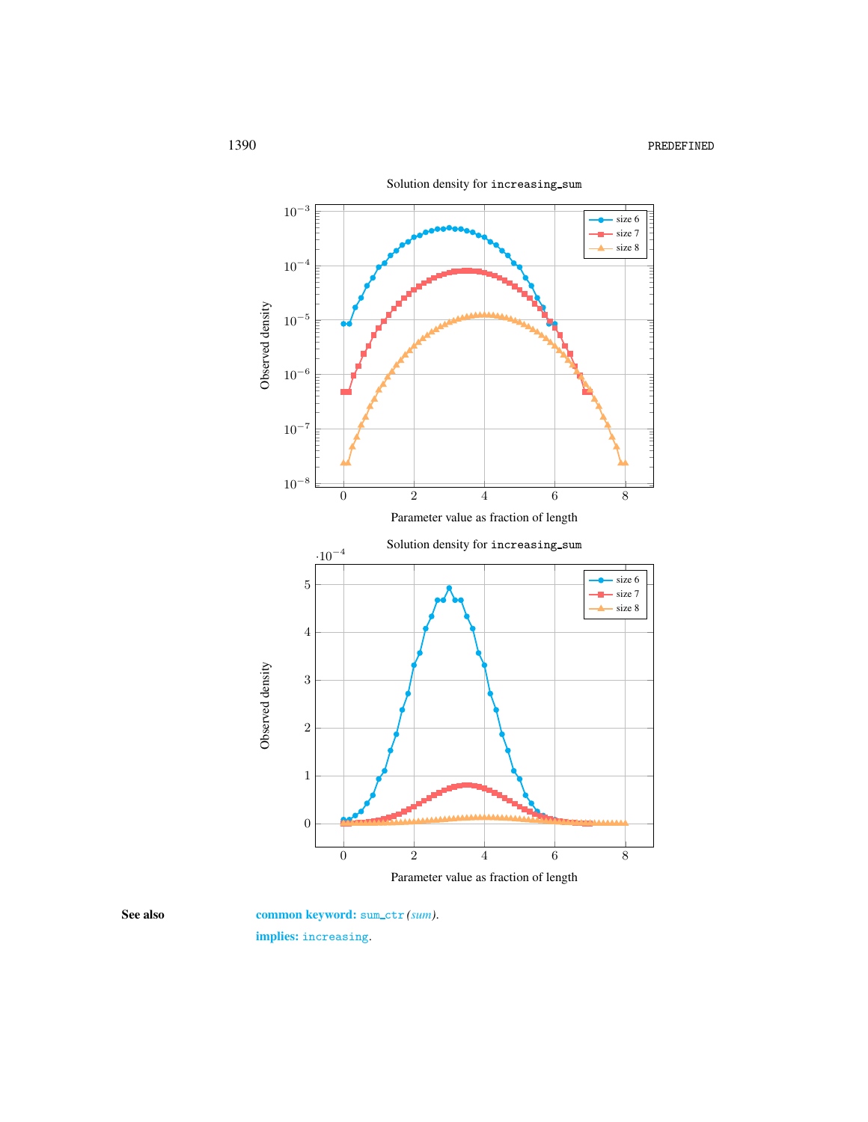

Solution density for increasing sum

Parameter value as fraction of length

<span id="page-4-0"></span>

See also common keyword: sum\_ctr *(sum)*. implies: increasing.